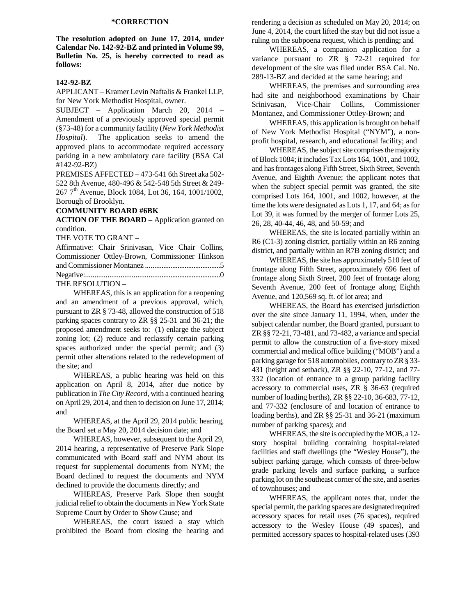## **\*CORRECTION**

**The resolution adopted on June 17, 2014, under Calendar No. 142-92-BZ and printed in Volume 99, Bulletin No. 25, is hereby corrected to read as follows:** 

## **142-92-BZ**

APPLICANT – Kramer Levin Naftalis & Frankel LLP, for New York Methodist Hospital, owner.

SUBJECT – Application March 20, 2014 – Amendment of a previously approved special permit (§73-48) for a community facility (*New York Methodist Hospital*). The application seeks to amend the approved plans to accommodate required accessory parking in a new ambulatory care facility (BSA Cal #142-92-BZ)

PREMISES AFFECTED – 473-541 6th Street aka 502- 522 8th Avenue, 480-496 & 542-548 5th Street & 249- 267 7th Avenue, Block 1084, Lot 36, 164, 1001/1002, Borough of Brooklyn.

## **COMMUNITY BOARD #6BK**

**ACTION OF THE BOARD –** Application granted on condition.

THE VOTE TO GRANT –

| Affirmative: Chair Srinivasan, Vice Chair Collins, |  |  |  |
|----------------------------------------------------|--|--|--|
| Commissioner Ottley-Brown, Commissioner Hinkson    |  |  |  |
|                                                    |  |  |  |
|                                                    |  |  |  |
| THE RESOLUTION -                                   |  |  |  |

 WHEREAS, this is an application for a reopening and an amendment of a previous approval, which, pursuant to ZR § 73-48, allowed the construction of 518 parking spaces contrary to ZR §§ 25-31 and 36-21; the proposed amendment seeks to: (1) enlarge the subject zoning lot; (2) reduce and reclassify certain parking spaces authorized under the special permit; and (3) permit other alterations related to the redevelopment of the site; and

 WHEREAS, a public hearing was held on this application on April 8, 2014, after due notice by publication in *The City Record*, with a continued hearing on April 29, 2014, and then to decision on June 17, 2014; and

 WHEREAS, at the April 29, 2014 public hearing, the Board set a May 20, 2014 decision date; and

 WHEREAS, however, subsequent to the April 29, 2014 hearing, a representative of Preserve Park Slope communicated with Board staff and NYM about its request for supplemental documents from NYM; the Board declined to request the documents and NYM declined to provide the documents directly; and

 WHEREAS, Preserve Park Slope then sought judicial relief to obtain the documents in New York State Supreme Court by Order to Show Cause; and

 WHEREAS, the court issued a stay which prohibited the Board from closing the hearing and

rendering a decision as scheduled on May 20, 2014; on June 4, 2014, the court lifted the stay but did not issue a ruling on the subpoena request, which is pending; and

 WHEREAS, a companion application for a variance pursuant to ZR § 72-21 required for development of the site was filed under BSA Cal. No. 289-13-BZ and decided at the same hearing; and

 WHEREAS, the premises and surrounding area had site and neighborhood examinations by Chair Srinivasan, Vice-Chair Collins, Commissioner Montanez, and Commissioner Ottley-Brown; and

 WHEREAS, this application is brought on behalf of New York Methodist Hospital ("NYM"), a nonprofit hospital, research, and educational facility; and

 WHEREAS, the subject site comprises the majority of Block 1084; it includes Tax Lots 164, 1001, and 1002, and has frontages along Fifth Street, Sixth Street, Seventh Avenue, and Eighth Avenue; the applicant notes that when the subject special permit was granted, the site comprised Lots 164, 1001, and 1002, however, at the time the lots were designated as Lots 1, 17, and 64; as for Lot 39, it was formed by the merger of former Lots 25, 26, 28, 40-44, 46, 48, and 50-59; and

 WHEREAS, the site is located partially within an R6 (C1-3) zoning district, partially within an R6 zoning district, and partially within an R7B zoning district; and

 WHEREAS, the site has approximately 510 feet of frontage along Fifth Street, approximately 696 feet of frontage along Sixth Street, 200 feet of frontage along Seventh Avenue, 200 feet of frontage along Eighth Avenue, and 120,569 sq. ft. of lot area; and

 WHEREAS, the Board has exercised jurisdiction over the site since January 11, 1994, when, under the subject calendar number, the Board granted, pursuant to ZR §§ 72-21, 73-481, and 73-482, a variance and special permit to allow the construction of a five-story mixed commercial and medical office building ("MOB") and a parking garage for 518 automobiles, contrary to ZR § 33- 431 (height and setback), ZR §§ 22-10, 77-12, and 77- 332 (location of entrance to a group parking facility accessory to commercial uses, ZR § 36-63 (required number of loading berths), ZR §§ 22-10, 36-683, 77-12, and 77-332 (enclosure of and location of entrance to loading berths), and ZR §§ 25-31 and 36-21 (maximum number of parking spaces); and

 WHEREAS, the site is occupied by the MOB, a 12 story hospital building containing hospital-related facilities and staff dwellings (the "Wesley House"), the subject parking garage, which consists of three-below grade parking levels and surface parking, a surface parking lot on the southeast corner of the site, and a series of townhouses; and

 WHEREAS, the applicant notes that, under the special permit, the parking spaces are designated required accessory spaces for retail uses (76 spaces), required accessory to the Wesley House (49 spaces), and permitted accessory spaces to hospital-related uses (393